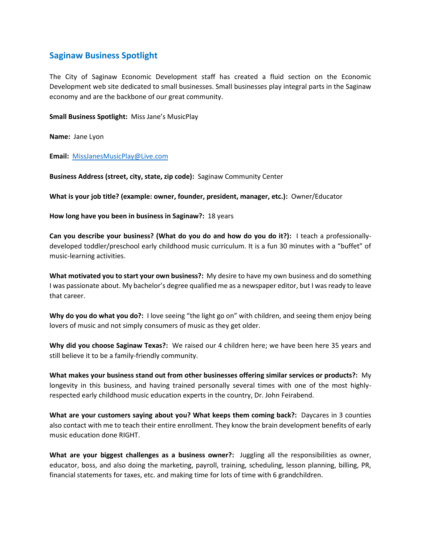## **Saginaw Business Spotlight**

The City of Saginaw Economic Development staff has created a fluid section on the Economic Development web site dedicated to small businesses. Small businesses play integral parts in the Saginaw economy and are the backbone of our great community.

**Small Business Spotlight:** Miss Jane's MusicPlay

**Name:** Jane Lyon

**Email:** [MissJanesMusicPlay@Live.com](mailto:MissJanesMusicPlay@Live.com)

**Business Address (street, city, state, zip code):** Saginaw Community Center

**What is your job title? (example: owner, founder, president, manager, etc.):** Owner/Educator

**How long have you been in business in Saginaw?:** 18 years

**Can you describe your business? (What do you do and how do you do it?):** I teach a professionallydeveloped toddler/preschool early childhood music curriculum. It is a fun 30 minutes with a "buffet" of music-learning activities.

**What motivated you to start your own business?:** My desire to have my own business and do something I was passionate about. My bachelor's degree qualified me as a newspaper editor, but I was ready to leave that career.

**Why do you do what you do?:** I love seeing "the light go on" with children, and seeing them enjoy being lovers of music and not simply consumers of music as they get older.

**Why did you choose Saginaw Texas?:** We raised our 4 children here; we have been here 35 years and still believe it to be a family-friendly community.

**What makes your business stand out from other businesses offering similar services or products?:** My longevity in this business, and having trained personally several times with one of the most highlyrespected early childhood music education experts in the country, Dr. John Feirabend.

**What are your customers saying about you? What keeps them coming back?:** Daycares in 3 counties also contact with me to teach their entire enrollment. They know the brain development benefits of early music education done RIGHT.

**What are your biggest challenges as a business owner?:** Juggling all the responsibilities as owner, educator, boss, and also doing the marketing, payroll, training, scheduling, lesson planning, billing, PR, financial statements for taxes, etc. and making time for lots of time with 6 grandchildren.